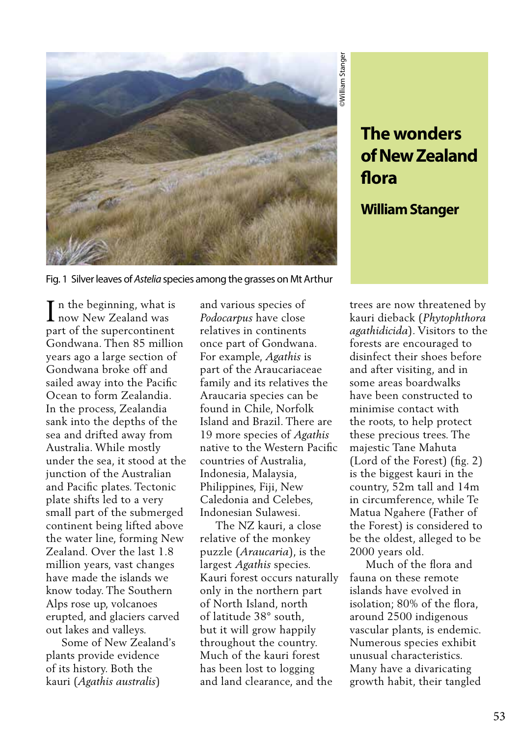

## **of New Zealand flora**

## **William Stanger**

Fig. 1 Silver leaves of *Astelia* species among the grasses on Mt Arthur

 $\mathbf T$  n the beginning, what is In the beginning, what i<br>
now New Zealand was part of the supercontinent Gondwana. Then 85 million years ago a large section of Gondwana broke off and sailed away into the Pacific Ocean to form Zealandia. In the process, Zealandia sank into the depths of the sea and drifted away from Australia. While mostly under the sea, it stood at the junction of the Australian and Pacific plates. Tectonic plate shifts led to a very small part of the submerged continent being lifted above the water line, forming New Zealand. Over the last 1.8 million years, vast changes have made the islands we know today. The Southern Alps rose up, volcanoes erupted, and glaciers carved out lakes and valleys.

 Some of New Zealand's plants provide evidence of its history. Both the kauri (*Agathis australis*)

and various species of *Podocarpus* have close relatives in continents once part of Gondwana. For example, *Agathis* is part of the Araucariaceae family and its relatives the Araucaria species can be found in Chile, Norfolk Island and Brazil. There are 19 more species of *Agathis* native to the Western Pacific countries of Australia, Indonesia, Malaysia, Philippines, Fiji, New Caledonia and Celebes, Indonesian Sulawesi.

 The NZ kauri, a close relative of the monkey puzzle (*Araucaria*), is the largest *Agathis* species. Kauri forest occurs naturally only in the northern part of North Island, north of latitude 38° south, but it will grow happily throughout the country. Much of the kauri forest has been lost to logging and land clearance, and the

**The wonders**<br> **of New Zealand**<br> **flora**<br> **William Stanger**<br> **with dispack (Phytophthora**<br>
athidicida). Visitors to the<br>
athidicida). Visitors to the similated in implements are encouraged to<br>
a fleer visiting, and in<br>
me trees are now threatened by kauri dieback (*Phytophthora agathidicida*). Visitors to the forests are encouraged to disinfect their shoes before and after visiting, and in some areas boardwalks have been constructed to minimise contact with the roots, to help protect these precious trees. The majestic Tane Mahuta (Lord of the Forest) (fig. 2) is the biggest kauri in the country, 52m tall and 14m in circumference, while Te Matua Ngahere (Father of the Forest) is considered to be the oldest, alleged to be 2000 years old.

 Much of the flora and fauna on these remote islands have evolved in isolation; 80% of the flora, around 2500 indigenous vascular plants, is endemic. Numerous species exhibit unusual characteristics. Many have a divaricating growth habit, their tangled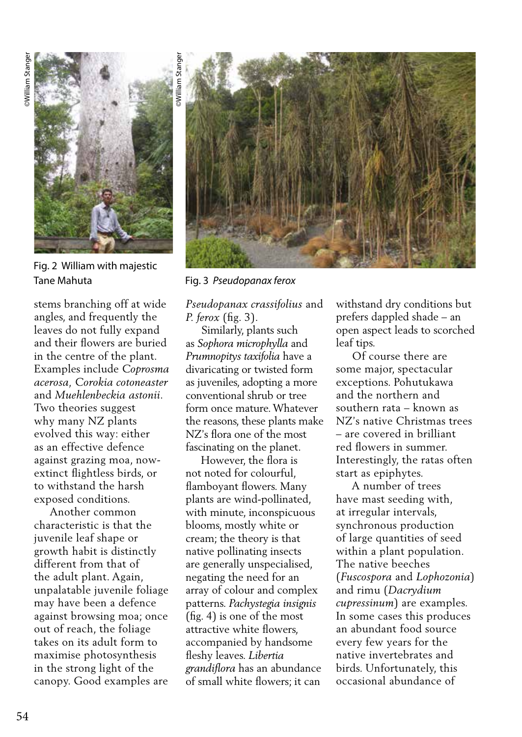

Fig. 2 William with majestic Tane Mahuta Fig. 3 *Pseudopanax ferox* 

stems branching off at wide angles, and frequently the leaves do not fully expand and their flowers are buried in the centre of the plant. Examples include *Coprosma acerosa, Corokia cotoneaster* and *Muehlenbeckia astonii*. Two theories suggest why many NZ plants evolved this way: either as an effective defence against grazing moa, nowextinct flightless birds, or to withstand the harsh exposed conditions.

 Another common characteristic is that the juvenile leaf shape or growth habit is distinctly different from that of the adult plant. Again, unpalatable juvenile foliage may have been a defence against browsing moa; once out of reach, the foliage takes on its adult form to maximise photosynthesis in the strong light of the canopy. Good examples are



*Pseudopanax crassifolius* and *P. ferox* (fig. 3).

 Similarly, plants such as *Sophora microphylla* and *Prumnopitys taxifolia* have a divaricating or twisted form as juveniles, adopting a more conventional shrub or tree form once mature. Whatever the reasons, these plants make NZ's flora one of the most fascinating on the planet.

 However, the flora is not noted for colourful, flamboyant flowers. Many plants are wind-pollinated, with minute, inconspicuous blooms, mostly white or cream; the theory is that native pollinating insects are generally unspecialised, negating the need for an array of colour and complex patterns. *Pachystegia insignis*  (fig. 4) is one of the most attractive white flowers, accompanied by handsome fleshy leaves. *Libertia grandiflora* has an abundance of small white flowers; it can

withstand dry conditions but prefers dappled shade – an open aspect leads to scorched leaf tips.

 Of course there are some major, spectacular exceptions. Pohutukawa and the northern and southern rata – known as NZ's native Christmas trees – are covered in brilliant red flowers in summer. Interestingly, the ratas often start as epiphytes.

 A number of trees have mast seeding with, at irregular intervals, synchronous production of large quantities of seed within a plant population. The native beeches (*Fuscospora* and *Lophozonia*) and rimu (*Dacrydium cupressinum*) are examples. In some cases this produces an abundant food source every few years for the native invertebrates and birds. Unfortunately, this occasional abundance of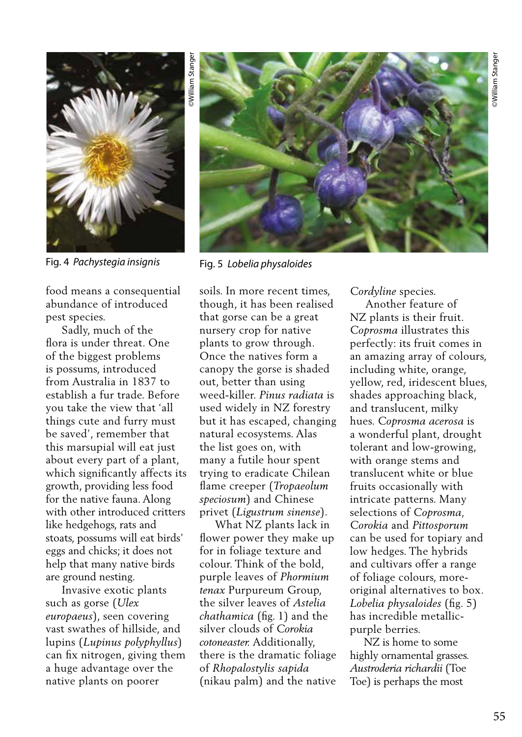

Fig. 4 *Pachystegia insignis* Fig. 5 *Lobelia physaloides*

food means a consequential abundance of introduced pest species.

 Sadly, much of the flora is under threat. One of the biggest problems is possums, introduced from Australia in 1837 to establish a fur trade. Before you take the view that 'all things cute and furry must be saved', remember that this marsupial will eat just about every part of a plant, which significantly affects its growth, providing less food for the native fauna. Along with other introduced critters like hedgehogs, rats and stoats, possums will eat birds' eggs and chicks; it does not help that many native birds are ground nesting.

 Invasive exotic plants such as gorse (*Ulex europaeus*), seen covering vast swathes of hillside, and lupins (*Lupinus polyphyllus*) can fix nitrogen, giving them a huge advantage over the native plants on poorer



soils. In more recent times, though, it has been realised that gorse can be a great nursery crop for native plants to grow through. Once the natives form a canopy the gorse is shaded out, better than using weed-killer. *Pinus radiata* is used widely in NZ forestry but it has escaped, changing natural ecosystems. Alas the list goes on, with many a futile hour spent trying to eradicate Chilean flame creeper (*Tropaeolum speciosum*) and Chinese privet (*Ligustrum sinense*).

 What NZ plants lack in flower power they make up for in foliage texture and colour. Think of the bold, purple leaves of *Phormium tenax* Purpureum Group, the silver leaves of *Astelia chathamica* (fig. 1) and the silver clouds of *Corokia cotoneaster.* Additionally, there is the dramatic foliage of *Rhopalostylis sapida*  (nikau palm) and the native

*Cordyline* species.

 Another feature of NZ plants is their fruit. *Coprosma* illustrates this perfectly: its fruit comes in an amazing array of colours, including white, orange, yellow, red, iridescent blues, shades approaching black, and translucent, milky hues. *Coprosma acerosa* is a wonderful plant, drought tolerant and low-growing, with orange stems and translucent white or blue fruits occasionally with intricate patterns. Many selections of *Coprosma, Corokia* and *Pittosporum* can be used for topiary and low hedges. The hybrids and cultivars offer a range of foliage colours, moreoriginal alternatives to box. *Lobelia physaloides* (fig. 5) has incredible metallicpurple berries.

 NZ is home to some highly ornamental grasses. *Austroderia richardii* (Toe Toe) is perhaps the most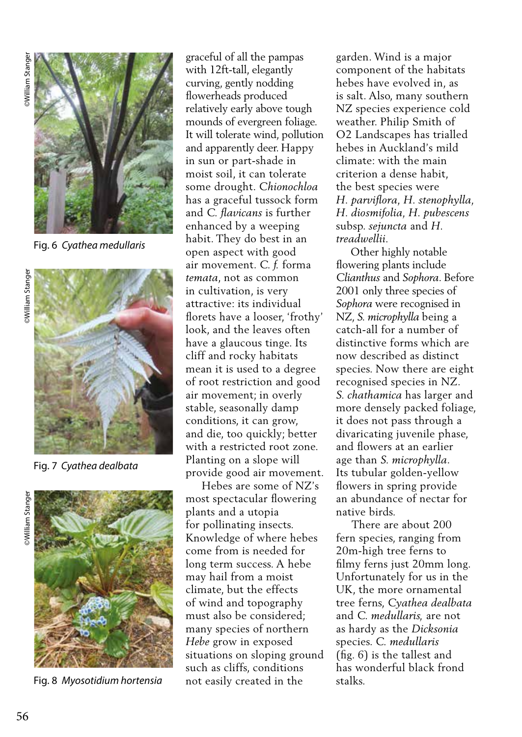

Fig. 6 *Cyathea medullaris*



Fig. 7 *Cyathea dealbata* 



Fig. 8 *Myosotidium hortensia*

graceful of all the pampas with 12ft-tall, elegantly curving, gently nodding flowerheads produced relatively early above tough mounds of evergreen foliage. It will tolerate wind, pollution and apparently deer. Happy in sun or part-shade in moist soil, it can tolerate some drought. *Chionochloa* has a graceful tussock form and *C. flavicans* is further enhanced by a weeping habit. They do best in an open aspect with good air movement. *C. f.* forma *temata*, not as common in cultivation, is very attractive: its individual florets have a looser, 'frothy' look, and the leaves often have a glaucous tinge. Its cliff and rocky habitats mean it is used to a degree of root restriction and good air movement; in overly stable, seasonally damp conditions, it can grow, and die, too quickly; better with a restricted root zone. Planting on a slope will provide good air movement.

 Hebes are some of NZ's most spectacular flowering plants and a utopia for pollinating insects. Knowledge of where hebes come from is needed for long term success. A hebe may hail from a moist climate, but the effects of wind and topography must also be considered; many species of northern *Hebe* grow in exposed situations on sloping ground such as cliffs, conditions not easily created in the

garden. Wind is a major component of the habitats hebes have evolved in, as is salt. Also, many southern NZ species experience cold weather. Philip Smith of O2 Landscapes has trialled hebes in Auckland's mild climate: with the main criterion a dense habit, the best species were *H. parviflora, H. stenophylla, H. diosmifolia, H. pubescens*  subsp. *sejuncta* and *H. treadwellii.* 

 Other highly notable flowering plants include *Clianthus* and *Sophora*. Before 2001 only three species of *Sophora* were recognised in NZ, *S. microphylla* being a catch-all for a number of distinctive forms which are now described as distinct species. Now there are eight recognised species in NZ. *S. chathamica* has larger and more densely packed foliage, it does not pass through a divaricating juvenile phase, and flowers at an earlier age than *S. microphylla*. Its tubular golden-yellow flowers in spring provide an abundance of nectar for native birds.

 There are about 200 fern species, ranging from 20m-high tree ferns to filmy ferns just 20mm long. Unfortunately for us in the UK, the more ornamental tree ferns, *Cyathea dealbata* and *C. medullaris,* are not as hardy as the *Dicksonia* species. *C. medullaris* (fig. 6) is the tallest and has wonderful black frond stalks.